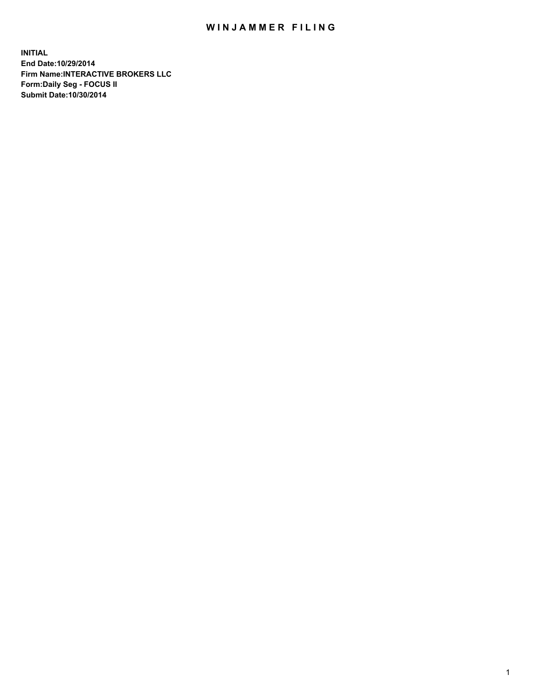## WIN JAMMER FILING

**INITIAL End Date:10/29/2014 Firm Name:INTERACTIVE BROKERS LLC Form:Daily Seg - FOCUS II Submit Date:10/30/2014**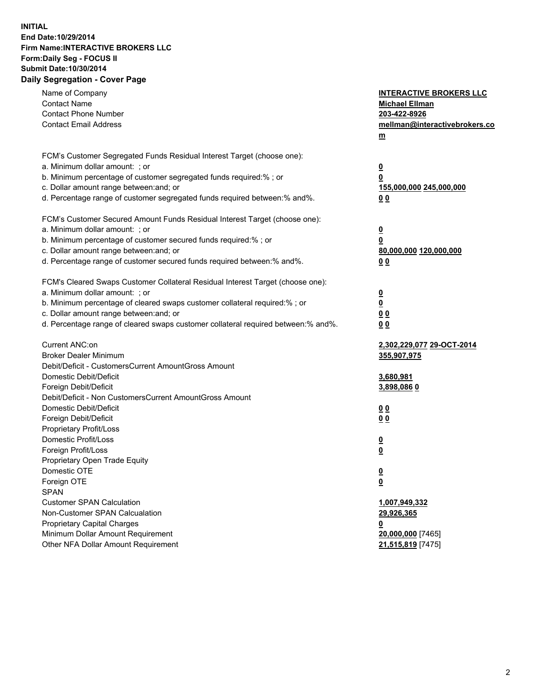## **INITIAL End Date:10/29/2014 Firm Name:INTERACTIVE BROKERS LLC Form:Daily Seg - FOCUS II Submit Date:10/30/2014 Daily Segregation - Cover Page**

| Name of Company<br><b>Contact Name</b><br><b>Contact Phone Number</b><br><b>Contact Email Address</b>                                                                                                                                                                                                                          | <b>INTERACTIVE BROKERS LLC</b><br><b>Michael Ellman</b><br>203-422-8926<br>mellman@interactivebrokers.co<br>$m$ |
|--------------------------------------------------------------------------------------------------------------------------------------------------------------------------------------------------------------------------------------------------------------------------------------------------------------------------------|-----------------------------------------------------------------------------------------------------------------|
| FCM's Customer Segregated Funds Residual Interest Target (choose one):<br>a. Minimum dollar amount: ; or<br>b. Minimum percentage of customer segregated funds required:% ; or<br>c. Dollar amount range between: and; or<br>d. Percentage range of customer segregated funds required between:% and%.                         | <u>0</u><br>0<br>155,000,000 245,000,000<br>0 <sub>0</sub>                                                      |
| FCM's Customer Secured Amount Funds Residual Interest Target (choose one):<br>a. Minimum dollar amount: ; or<br>b. Minimum percentage of customer secured funds required:% ; or<br>c. Dollar amount range between: and; or<br>d. Percentage range of customer secured funds required between:% and%.                           | <u>0</u><br>0<br>80,000,000 120,000,000<br>0 <sub>0</sub>                                                       |
| FCM's Cleared Swaps Customer Collateral Residual Interest Target (choose one):<br>a. Minimum dollar amount: ; or<br>b. Minimum percentage of cleared swaps customer collateral required:% ; or<br>c. Dollar amount range between: and; or<br>d. Percentage range of cleared swaps customer collateral required between:% and%. | $\overline{\mathbf{0}}$<br>$\underline{\mathbf{0}}$<br>0 <sub>0</sub><br>0 <sub>0</sub>                         |
| Current ANC:on<br><b>Broker Dealer Minimum</b><br>Debit/Deficit - CustomersCurrent AmountGross Amount<br>Domestic Debit/Deficit<br>Foreign Debit/Deficit                                                                                                                                                                       | 2,302,229,077 29-OCT-2014<br>355,907,975<br>3,680,981<br>3,898,086 0                                            |
| Debit/Deficit - Non CustomersCurrent AmountGross Amount<br>Domestic Debit/Deficit<br>Foreign Debit/Deficit<br>Proprietary Profit/Loss<br>Domestic Profit/Loss<br>Foreign Profit/Loss                                                                                                                                           | 0 <sub>0</sub><br>0 <sub>0</sub><br><u>0</u>                                                                    |
| Proprietary Open Trade Equity<br>Domestic OTE<br>Foreign OTE<br><b>SPAN</b><br><b>Customer SPAN Calculation</b>                                                                                                                                                                                                                | <u>0</u><br><u>0</u><br><u>0</u><br>1,007,949,332                                                               |
| Non-Customer SPAN Calcualation<br><b>Proprietary Capital Charges</b><br>Minimum Dollar Amount Requirement<br>Other NFA Dollar Amount Requirement                                                                                                                                                                               | 29,926,365<br><u>0</u><br>20,000,000 [7465]<br>21,515,819 [7475]                                                |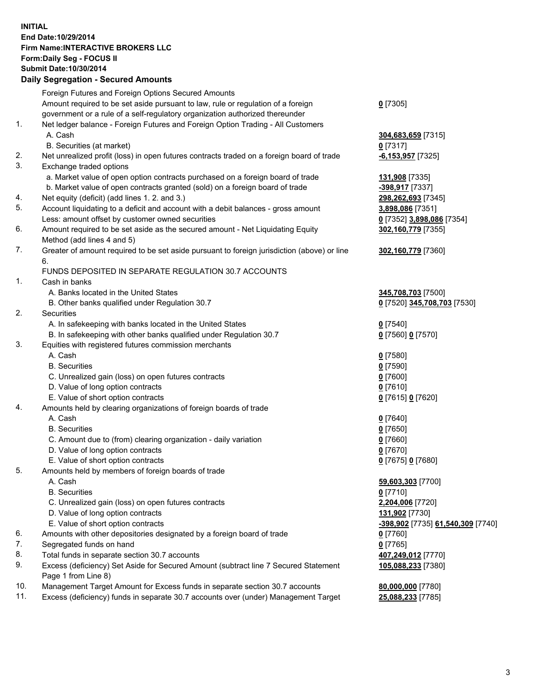## **INITIAL End Date:10/29/2014 Firm Name:INTERACTIVE BROKERS LLC Form:Daily Seg - FOCUS II Submit Date:10/30/2014 Daily Segregation - Secured Amounts**

|     | Foreign Futures and Foreign Options Secured Amounts                                                        |                                   |
|-----|------------------------------------------------------------------------------------------------------------|-----------------------------------|
|     | Amount required to be set aside pursuant to law, rule or regulation of a foreign                           | $0$ [7305]                        |
|     | government or a rule of a self-regulatory organization authorized thereunder                               |                                   |
| 1.  | Net ledger balance - Foreign Futures and Foreign Option Trading - All Customers                            |                                   |
|     | A. Cash                                                                                                    | 304,683,659 [7315]                |
|     | B. Securities (at market)                                                                                  | $0$ [7317]                        |
| 2.  | Net unrealized profit (loss) in open futures contracts traded on a foreign board of trade                  | -6,153,957 [7325]                 |
| 3.  | Exchange traded options                                                                                    |                                   |
|     | a. Market value of open option contracts purchased on a foreign board of trade                             | 131,908 [7335]                    |
|     | b. Market value of open contracts granted (sold) on a foreign board of trade                               | -398,917 [7337]                   |
| 4.  | Net equity (deficit) (add lines 1.2. and 3.)                                                               | 298,262,693 [7345]                |
| 5.  | Account liquidating to a deficit and account with a debit balances - gross amount                          | <u>3,898,086</u> [7351]           |
|     | Less: amount offset by customer owned securities                                                           | 0 [7352] 3,898,086 [7354]         |
| 6.  | Amount required to be set aside as the secured amount - Net Liquidating Equity                             | 302,160,779 [7355]                |
|     | Method (add lines 4 and 5)                                                                                 |                                   |
| 7.  | Greater of amount required to be set aside pursuant to foreign jurisdiction (above) or line                | 302,160,779 [7360]                |
|     | 6.                                                                                                         |                                   |
|     | FUNDS DEPOSITED IN SEPARATE REGULATION 30.7 ACCOUNTS                                                       |                                   |
| 1.  | Cash in banks                                                                                              |                                   |
|     | A. Banks located in the United States                                                                      | 345,708,703 [7500]                |
|     | B. Other banks qualified under Regulation 30.7                                                             | 0 [7520] 345,708,703 [7530]       |
| 2.  | Securities                                                                                                 |                                   |
|     | A. In safekeeping with banks located in the United States                                                  | $0$ [7540]                        |
|     | B. In safekeeping with other banks qualified under Regulation 30.7                                         | 0 [7560] 0 [7570]                 |
| 3.  | Equities with registered futures commission merchants                                                      |                                   |
|     | A. Cash                                                                                                    | $0$ [7580]                        |
|     | <b>B.</b> Securities                                                                                       | $0$ [7590]                        |
|     | C. Unrealized gain (loss) on open futures contracts                                                        | $0$ [7600]                        |
|     | D. Value of long option contracts                                                                          | $0$ [7610]                        |
|     | E. Value of short option contracts                                                                         | 0 [7615] 0 [7620]                 |
| 4.  | Amounts held by clearing organizations of foreign boards of trade                                          |                                   |
|     | A. Cash                                                                                                    | $0$ [7640]                        |
|     | <b>B.</b> Securities                                                                                       | $0$ [7650]                        |
|     | C. Amount due to (from) clearing organization - daily variation                                            | $0$ [7660]                        |
|     | D. Value of long option contracts                                                                          | $0$ [7670]                        |
|     | E. Value of short option contracts                                                                         | 0 [7675] 0 [7680]                 |
| 5.  | Amounts held by members of foreign boards of trade                                                         |                                   |
|     | A. Cash                                                                                                    | 59,603,303 [7700]                 |
|     | <b>B.</b> Securities                                                                                       | $0$ [7710]                        |
|     | C. Unrealized gain (loss) on open futures contracts                                                        | 2,204,006 [7720]                  |
|     | D. Value of long option contracts                                                                          | 131,902 [7730]                    |
|     | E. Value of short option contracts                                                                         | -398,902 [7735] 61,540,309 [7740] |
| 6.  | Amounts with other depositories designated by a foreign board of trade                                     | $0$ [7760]                        |
| 7.  | Segregated funds on hand                                                                                   | $0$ [7765]                        |
| 8.  | Total funds in separate section 30.7 accounts                                                              | 407,249,012 [7770]                |
| 9.  | Excess (deficiency) Set Aside for Secured Amount (subtract line 7 Secured Statement<br>Page 1 from Line 8) | 105,088,233 [7380]                |
| 10. | Management Target Amount for Excess funds in separate section 30.7 accounts                                | 80,000,000 [7780]                 |
| 11. | Excess (deficiency) funds in separate 30.7 accounts over (under) Management Target                         | 25,088,233 [7785]                 |
|     |                                                                                                            |                                   |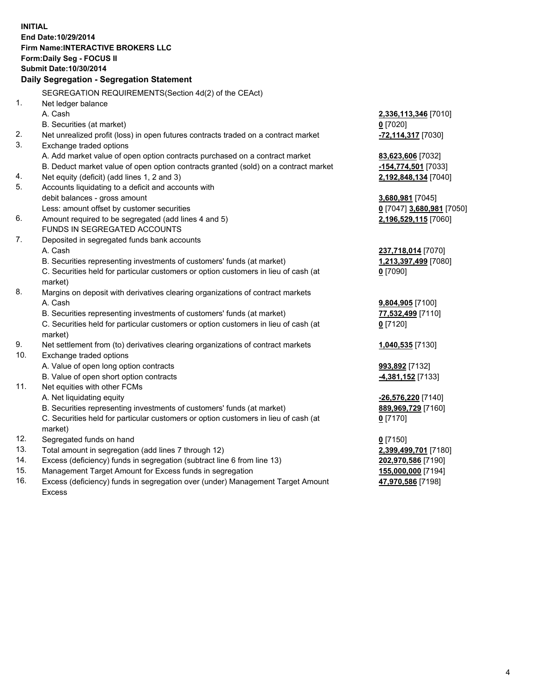**INITIAL End Date:10/29/2014 Firm Name:INTERACTIVE BROKERS LLC Form:Daily Seg - FOCUS II Submit Date:10/30/2014 Daily Segregation - Segregation Statement** SEGREGATION REQUIREMENTS(Section 4d(2) of the CEAct) 1. Net ledger balance A. Cash **2,336,113,346** [7010] B. Securities (at market) **0** [7020] 2. Net unrealized profit (loss) in open futures contracts traded on a contract market **-72,114,317** [7030] 3. Exchange traded options A. Add market value of open option contracts purchased on a contract market **83,623,606** [7032] B. Deduct market value of open option contracts granted (sold) on a contract market **-154,774,501** [7033] 4. Net equity (deficit) (add lines 1, 2 and 3) **2,192,848,134** [7040] 5. Accounts liquidating to a deficit and accounts with debit balances - gross amount **3,680,981** [7045] Less: amount offset by customer securities **0** [7047] **3,680,981** [7050] 6. Amount required to be segregated (add lines 4 and 5) **2,196,529,115** [7060] FUNDS IN SEGREGATED ACCOUNTS 7. Deposited in segregated funds bank accounts A. Cash **237,718,014** [7070] B. Securities representing investments of customers' funds (at market) **1,213,397,499** [7080] C. Securities held for particular customers or option customers in lieu of cash (at market) **0** [7090] 8. Margins on deposit with derivatives clearing organizations of contract markets A. Cash **9,804,905** [7100] B. Securities representing investments of customers' funds (at market) **77,532,499** [7110] C. Securities held for particular customers or option customers in lieu of cash (at market) **0** [7120] 9. Net settlement from (to) derivatives clearing organizations of contract markets **1,040,535** [7130] 10. Exchange traded options A. Value of open long option contracts **993,892** [7132] B. Value of open short option contracts **-4,381,152** [7133] 11. Net equities with other FCMs A. Net liquidating equity **-26,576,220** [7140] B. Securities representing investments of customers' funds (at market) **889,969,729** [7160] C. Securities held for particular customers or option customers in lieu of cash (at market) **0** [7170] 12. Segregated funds on hand **0** [7150] 13. Total amount in segregation (add lines 7 through 12) **2,399,499,701** [7180] 14. Excess (deficiency) funds in segregation (subtract line 6 from line 13) **202,970,586** [7190] 15. Management Target Amount for Excess funds in segregation **155,000,000** [7194]

16. Excess (deficiency) funds in segregation over (under) Management Target Amount Excess

**47,970,586** [7198]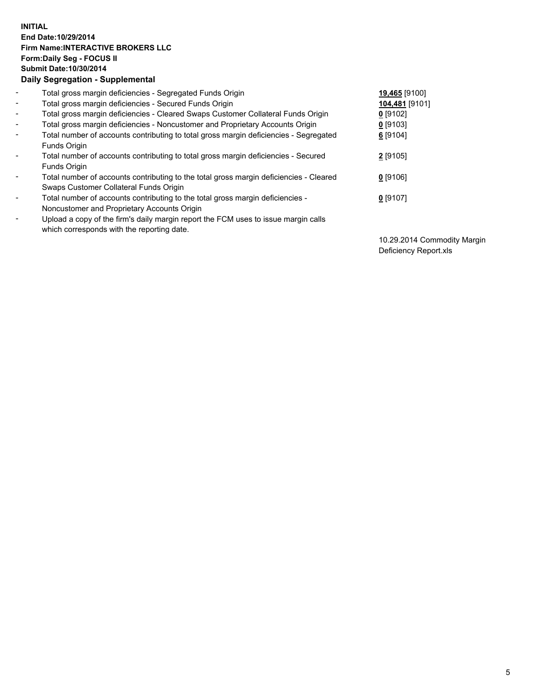## **INITIAL End Date:10/29/2014 Firm Name:INTERACTIVE BROKERS LLC Form:Daily Seg - FOCUS II Submit Date:10/30/2014 Daily Segregation - Supplemental**

| $\blacksquare$ | Total gross margin deficiencies - Segregated Funds Origin                              | 19,465 [9100]  |
|----------------|----------------------------------------------------------------------------------------|----------------|
| $\blacksquare$ | Total gross margin deficiencies - Secured Funds Origin                                 | 104,481 [9101] |
| $\blacksquare$ | Total gross margin deficiencies - Cleared Swaps Customer Collateral Funds Origin       | $0$ [9102]     |
| $\blacksquare$ | Total gross margin deficiencies - Noncustomer and Proprietary Accounts Origin          | $0$ [9103]     |
| $\blacksquare$ | Total number of accounts contributing to total gross margin deficiencies - Segregated  | 6 [9104]       |
|                | Funds Origin                                                                           |                |
| $\blacksquare$ | Total number of accounts contributing to total gross margin deficiencies - Secured     | $2$ [9105]     |
|                | Funds Origin                                                                           |                |
| $\blacksquare$ | Total number of accounts contributing to the total gross margin deficiencies - Cleared | $0$ [9106]     |
|                | Swaps Customer Collateral Funds Origin                                                 |                |
| $\blacksquare$ | Total number of accounts contributing to the total gross margin deficiencies -         | $0$ [9107]     |
|                | Noncustomer and Proprietary Accounts Origin                                            |                |
| $\blacksquare$ | Upload a copy of the firm's daily margin report the FCM uses to issue margin calls     |                |
|                | which corresponds with the reporting date.                                             |                |

10.29.2014 Commodity Margin Deficiency Report.xls